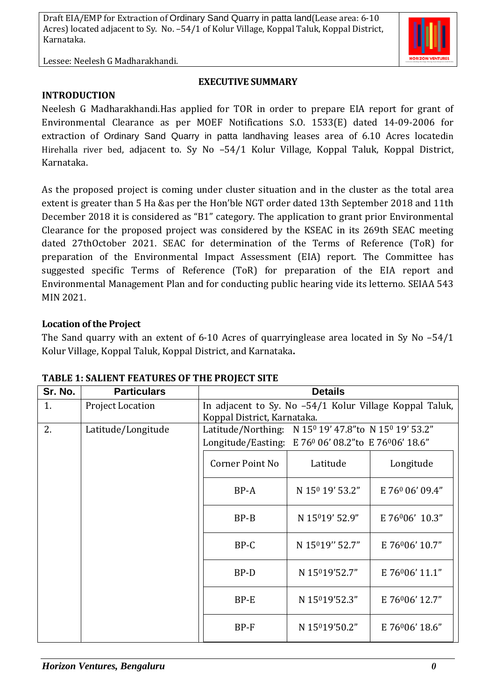

#### **EXECUTIVE SUMMARY**

**INTRODUCTION**

Neelesh G Madharakhandi.Has applied for TOR in order to prepare EIA report for grant of Environmental Clearance as per MOEF Notifications S.O. 1533(E) dated 14-09-2006 for extraction of Ordinary Sand Quarry in patta landhaving leases area of 6.10 Acres locatedin Hirehalla river bed, adjacent to. Sy No -54/1 Kolur Village, Koppal Taluk, Koppal District, Karnataka.

As the proposed project is coming under cluster situation and in the cluster as the total area extent is greater than 5 Ha &as per the Hon'ble NGT order dated 13th September 2018 and 11th December 2018 it is considered as "B1" category. The application to grant prior Environmental Clearance for the proposed project was considered by the KSEAC in its 269th SEAC meeting dated 27thOctober 2021. SEAC for determination of the Terms of Reference (ToR) for preparation of the Environmental Impact Assessment (EIA) report. The Committee has suggested specific Terms of Reference (ToR) for preparation of the EIA report and Environmental Management Plan and for conducting public hearing vide its letterno. SEIAA 543 MIN 2021.

### **Location of the Project**

The Sand quarry with an extent of 6-10 Acres of quarryinglease area located in Sy No –54/1 Kolur Village, Koppal Taluk, Koppal District, and Karnataka**.**

| Sr. No. | <b>Particulars</b>      | <b>Details</b>                                                                         |                             |                             |  |
|---------|-------------------------|----------------------------------------------------------------------------------------|-----------------------------|-----------------------------|--|
| 1.      | <b>Project Location</b> | In adjacent to Sy. No -54/1 Kolur Village Koppal Taluk,<br>Koppal District, Karnataka. |                             |                             |  |
| 2.      | Latitude/Longitude      | Latitude/Northing: N 15 <sup>0</sup> 19' 47.8" to N 15 <sup>0</sup> 19' 53.2"          |                             |                             |  |
|         |                         | Longitude/Easting: E 76 <sup>0</sup> 06' 08.2" to E 76 <sup>0</sup> 06' 18.6"          |                             |                             |  |
|         |                         | Corner Point No                                                                        | Latitude                    | Longitude                   |  |
|         |                         | BP-A                                                                                   | N 15 <sup>0</sup> 19' 53.2" | E 760 06' 09.4"             |  |
|         |                         | $BP-B$                                                                                 | N 15019' 52.9"              | E 76006' 10.3"              |  |
|         |                         | BP-C                                                                                   | N 15019" 52.7"              | E 76006' 10.7"              |  |
|         |                         | BP-D                                                                                   | N 15019'52.7"               | E 76006' 11.1"              |  |
|         |                         | $BP-E$                                                                                 | N 15019'52.3"               | E 76 <sup>0</sup> 06' 12.7" |  |
|         |                         | BP-F                                                                                   | N 15019'50.2"               | E 76006' 18.6"              |  |

#### **TABLE 1: SALIENT FEATURES OF THE PROJECT SITE**

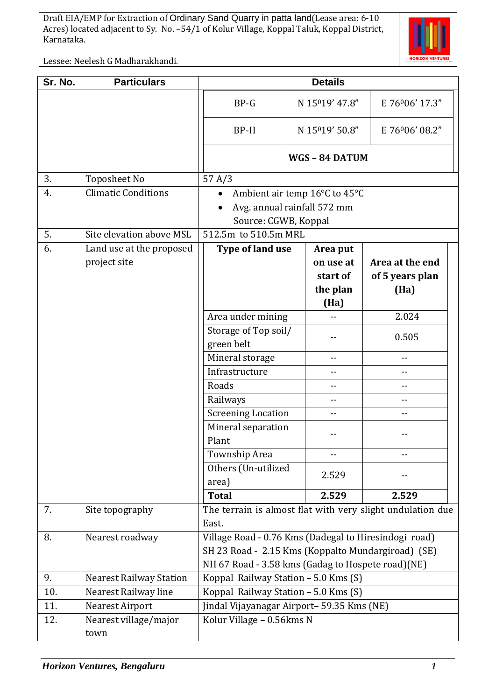

Lessee: Neelesh G Madharakhandi.

| Sr. No. | <b>Particulars</b>                       | <b>Details</b>                                                                                                                                                   |  |                                                       |                                            |  |
|---------|------------------------------------------|------------------------------------------------------------------------------------------------------------------------------------------------------------------|--|-------------------------------------------------------|--------------------------------------------|--|
|         |                                          | $BP-G$                                                                                                                                                           |  | N 15019' 47.8"                                        | E 76006' 17.3"                             |  |
|         |                                          | BP-H                                                                                                                                                             |  | N 15019' 50.8"                                        | E 76006' 08.2"                             |  |
|         |                                          | WGS - 84 DATUM                                                                                                                                                   |  |                                                       |                                            |  |
| 3.      | <b>Toposheet No</b>                      | 57 A/3                                                                                                                                                           |  |                                                       |                                            |  |
| 4.      | <b>Climatic Conditions</b>               | Ambient air temp 16°C to 45°C<br>$\bullet$<br>Avg. annual rainfall 572 mm<br>Source: CGWB, Koppal                                                                |  |                                                       |                                            |  |
| 5.      | Site elevation above MSL                 | 512.5m to 510.5m MRL                                                                                                                                             |  |                                                       |                                            |  |
| 6.      | Land use at the proposed<br>project site | Type of land use                                                                                                                                                 |  | Area put<br>on use at<br>start of<br>the plan<br>(Ha) | Area at the end<br>of 5 years plan<br>(Ha) |  |
|         |                                          | Area under mining                                                                                                                                                |  |                                                       | 2.024                                      |  |
|         |                                          | Storage of Top soil/<br>green belt                                                                                                                               |  |                                                       | 0.505                                      |  |
|         |                                          | Mineral storage                                                                                                                                                  |  | --                                                    | --                                         |  |
|         |                                          | Infrastructure                                                                                                                                                   |  |                                                       | $-$                                        |  |
|         |                                          | Roads                                                                                                                                                            |  |                                                       | --                                         |  |
|         |                                          | Railways                                                                                                                                                         |  | --                                                    | --                                         |  |
|         |                                          | <b>Screening Location</b>                                                                                                                                        |  | $- -$                                                 | --                                         |  |
|         |                                          | Mineral separation<br>Plant                                                                                                                                      |  |                                                       |                                            |  |
|         |                                          | Township Area                                                                                                                                                    |  | --                                                    | $ -$                                       |  |
|         |                                          | Others (Un-utilized<br>area)                                                                                                                                     |  | 2.529                                                 |                                            |  |
|         |                                          | <b>Total</b>                                                                                                                                                     |  | 2.529                                                 | 2.529                                      |  |
| 7.      | Site topography                          | The terrain is almost flat with very slight undulation due<br>East.                                                                                              |  |                                                       |                                            |  |
| 8.      | Nearest roadway                          | Village Road - 0.76 Kms (Dadegal to Hiresindogi road)<br>SH 23 Road - 2.15 Kms (Koppalto Mundargiroad) (SE)<br>NH 67 Road - 3.58 kms (Gadag to Hospete road)(NE) |  |                                                       |                                            |  |
| 9.      | <b>Nearest Railway Station</b>           | Koppal Railway Station - 5.0 Kms (S)                                                                                                                             |  |                                                       |                                            |  |
| 10.     | Nearest Railway line                     | Koppal Railway Station - 5.0 Kms (S)                                                                                                                             |  |                                                       |                                            |  |
| 11.     | <b>Nearest Airport</b>                   | Jindal Vijayanagar Airport- 59.35 Kms (NE)                                                                                                                       |  |                                                       |                                            |  |
| 12.     | Nearest village/major<br>town            | Kolur Village - 0.56kms N                                                                                                                                        |  |                                                       |                                            |  |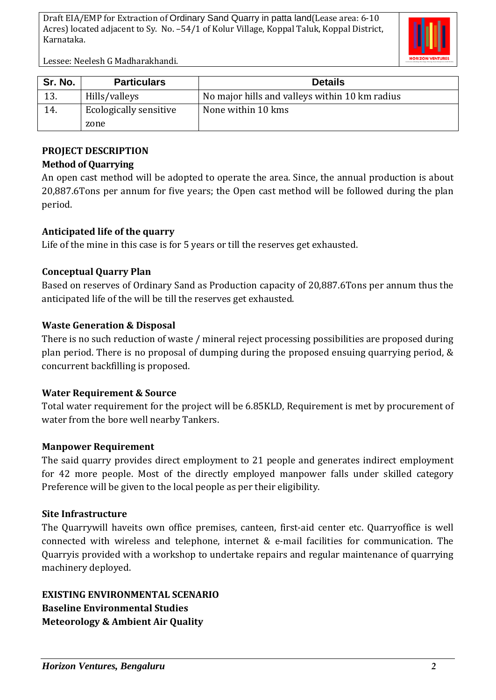

Lessee: Neelesh G Madharakhandi.

| Sr. No. | <b>Particulars</b>            | <b>Details</b>                                 |  |
|---------|-------------------------------|------------------------------------------------|--|
| 13.     | Hills/valleys                 | No major hills and valleys within 10 km radius |  |
| 14.     | <b>Ecologically sensitive</b> | None within 10 kms                             |  |
|         | zone                          |                                                |  |

# **PROJECT DESCRIPTION**

# **Method of Quarrying**

An open cast method will be adopted to operate the area. Since, the annual production is about 20,887.6Tons per annum for five years; the Open cast method will be followed during the plan period.

# **Anticipated life of the quarry**

Life of the mine in this case is for 5 years or till the reserves get exhausted.

# **Conceptual Quarry Plan**

Based on reserves of Ordinary Sand as Production capacity of 20,887.6Tons per annum thus the anticipated life of the will be till the reserves get exhausted.

# **Waste Generation & Disposal**

There is no such reduction of waste / mineral reject processing possibilities are proposed during plan period. There is no proposal of dumping during the proposed ensuing quarrying period, & concurrent backfilling is proposed.

## **Water Requirement & Source**

Total water requirement for the project will be 6.85KLD, Requirement is met by procurement of water from the bore well nearby Tankers.

## **Manpower Requirement**

The said quarry provides direct employment to 21 people and generates indirect employment for 42 more people. Most of the directly employed manpower falls under skilled category Preference will be given to the local people as per their eligibility.

## **Site Infrastructure**

The Quarrywill haveits own office premises, canteen, first-aid center etc. Quarryoffice is well connected with wireless and telephone, internet & e-mail facilities for communication. The Quarryis provided with a workshop to undertake repairs and regular maintenance of quarrying machinery deployed.

**EXISTING ENVIRONMENTAL SCENARIO Baseline Environmental Studies Meteorology & Ambient Air Quality**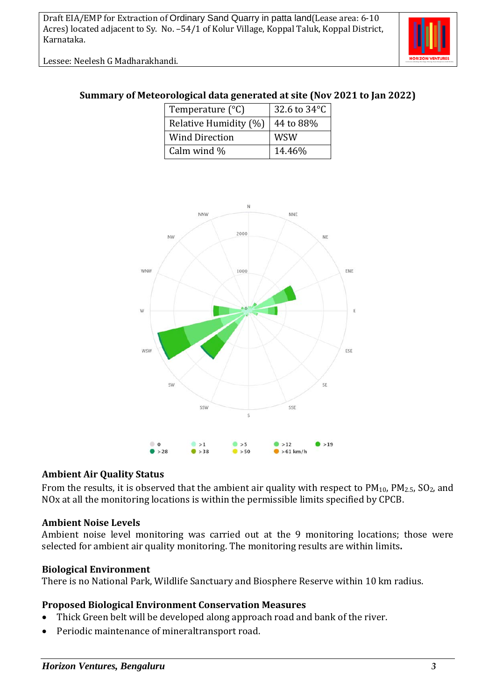Lessee: Neelesh G Madharakhandi.



## **Summary of Meteorological data generated at site (Nov 2021 to Jan 2022)**

| Temperature $(^{\circ}C)$ | 32.6 to $34^{\circ}$ C |
|---------------------------|------------------------|
| Relative Humidity (%)     | 44 to 88%              |
| <b>Wind Direction</b>     | <b>WSW</b>             |
| Calm wind %               | 14.46%                 |



#### **Ambient Air Quality Status**

From the results, it is observed that the ambient air quality with respect to  $PM_{10}$ ,  $PM_{2.5}$ ,  $SO_2$ , and NOx at all the monitoring locations is within the permissible limits specified by CPCB.

#### **Ambient Noise Levels**

Ambient noise level monitoring was carried out at the 9 monitoring locations; those were selected for ambient air quality monitoring. The monitoring results are within limits**.**

#### **Biological Environment**

There is no National Park, Wildlife Sanctuary and Biosphere Reserve within 10 km radius.

## **Proposed Biological Environment Conservation Measures**

- Thick Green belt will be developed along approach road and bank of the river.
- Periodic maintenance of mineraltransport road.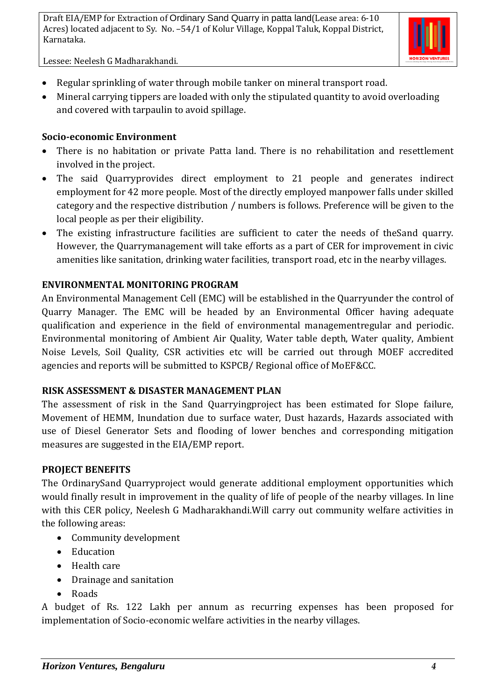

Lessee: Neelesh G Madharakhandi.

- Regular sprinkling of water through mobile tanker on mineral transport road.
- Mineral carrying tippers are loaded with only the stipulated quantity to avoid overloading and covered with tarpaulin to avoid spillage.

## **Socio-economic Environment**

- There is no habitation or private Patta land. There is no rehabilitation and resettlement involved in the project.
- The said Quarryprovides direct employment to 21 people and generates indirect employment for 42 more people. Most of the directly employed manpower falls under skilled category and the respective distribution / numbers is follows. Preference will be given to the local people as per their eligibility.
- The existing infrastructure facilities are sufficient to cater the needs of theSand quarry. However, the Quarrymanagement will take efforts as a part of CER for improvement in civic amenities like sanitation, drinking water facilities, transport road, etc in the nearby villages.

# **ENVIRONMENTAL MONITORING PROGRAM**

An Environmental Management Cell (EMC) will be established in the Quarryunder the control of Quarry Manager. The EMC will be headed by an Environmental Officer having adequate qualification and experience in the field of environmental managementregular and periodic. Environmental monitoring of Ambient Air Quality, Water table depth, Water quality, Ambient Noise Levels, Soil Quality, CSR activities etc will be carried out through MOEF accredited agencies and reports will be submitted to KSPCB/ Regional office of MoEF&CC.

## **RISK ASSESSMENT & DISASTER MANAGEMENT PLAN**

The assessment of risk in the Sand Quarryingproject has been estimated for Slope failure, Movement of HEMM, Inundation due to surface water, Dust hazards, Hazards associated with use of Diesel Generator Sets and flooding of lower benches and corresponding mitigation measures are suggested in the EIA/EMP report.

# **PROJECT BENEFITS**

The OrdinarySand Quarryproject would generate additional employment opportunities which would finally result in improvement in the quality of life of people of the nearby villages. In line with this CER policy, Neelesh G Madharakhandi.Will carry out community welfare activities in the following areas:

- Community development
- Education
- Health care
- Drainage and sanitation
- Roads

A budget of Rs. 122 Lakh per annum as recurring expenses has been proposed for implementation of Socio-economic welfare activities in the nearby villages.